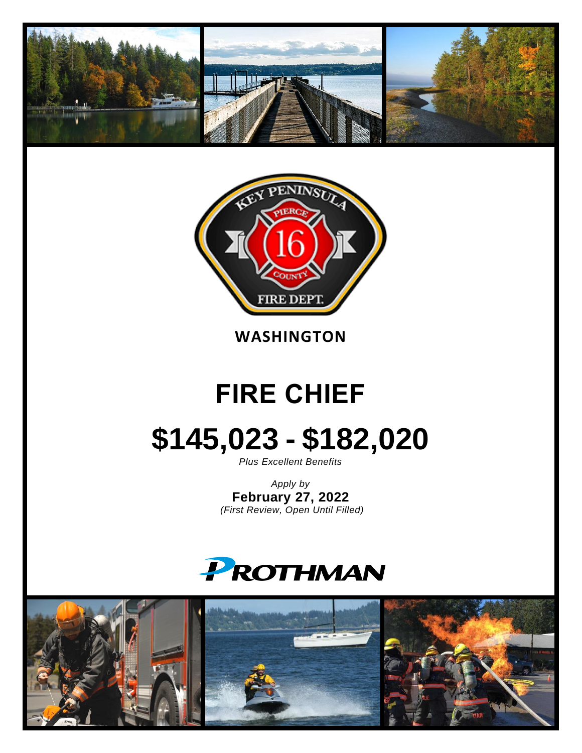



**WASHINGTON**

## **FIRE CHIEF**

# **\$145,023 - \$182,020**

*Plus Excellent Benefits*

*Apply by* **February 27, 2022** *(First Review, Open Until Filled)*



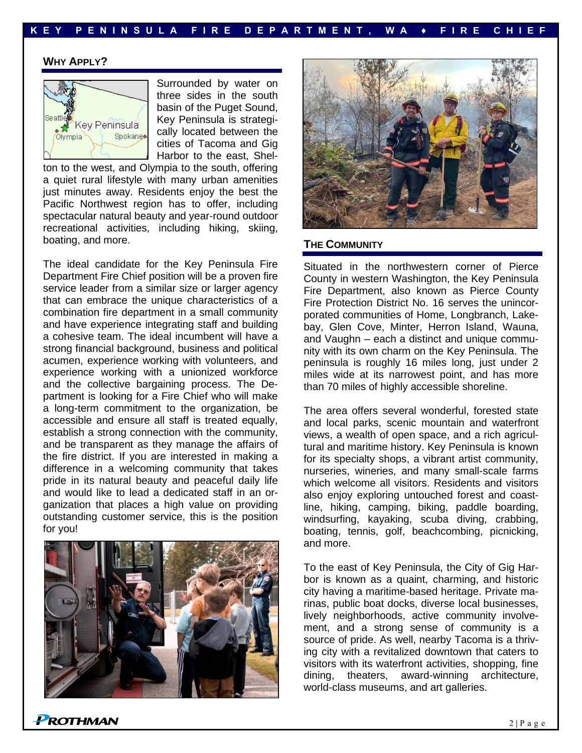#### **WHY APPLY?**



Surrounded by water on three sides in the south basin of the Puget Sound, Key Peninsula is strategically located between the cities of Tacoma and Gig Harbor to the east, Shel-

ton to the west, and Olympia to the south, offering a quiet rural lifestyle with many urban amenities just minutes away. Residents enjoy the best the Pacific Northwest region has to offer, including spectacular natural beauty and year-round outdoor recreational activities, including hiking, skiing, boating, and more.

The ideal candidate for the Key Peninsula Fire Department Fire Chief position will be a proven fire service leader from a similar size or larger agency that can embrace the unique characteristics of a combination fire department in a small community and have experience integrating staff and building a cohesive team. The ideal incumbent will have a strong financial background, business and political acumen, experience working with volunteers, and experience working with a unionized workforce and the collective bargaining process. The Department is looking for a Fire Chief who will make a long-term commitment to the organization, be accessible and ensure all staff is treated equally, establish a strong connection with the community, and be transparent as they manage the affairs of the fire district. If you are interested in making a difference in a welcoming community that takes pride in its natural beauty and peaceful daily life and would like to lead a dedicated staff in an organization that places a high value on providing outstanding customer service, this is the position for you!





#### **THE COMMUNITY**

Situated in the northwestern corner of Pierce County in western Washington, the Key Peninsula Fire Department, also known as Pierce County Fire Protection District No. 16 serves the unincorporated communities of Home, Longbranch, Lakebay, Glen Cove, Minter, Herron Island, Wauna, and Vaughn – each a distinct and unique community with its own charm on the Key Peninsula. The peninsula is roughly 16 miles long, just under 2 miles wide at its narrowest point, and has more than 70 miles of highly accessible shoreline.

The area offers several wonderful, forested state and local parks, scenic mountain and waterfront views, a wealth of open space, and a rich agricultural and maritime history. Key Peninsula is known for its specialty shops, a vibrant artist community, nurseries, wineries, and many small-scale farms which welcome all visitors. Residents and visitors also enjoy exploring untouched forest and coastline, hiking, camping, biking, paddle boarding, windsurfing, kayaking, scuba diving, crabbing, boating, tennis, golf, beachcombing, picnicking, and more.

To the east of Key Peninsula, the City of Gig Harbor is known as a quaint, charming, and historic city having a maritime-based heritage. Private marinas, public boat docks, diverse local businesses, lively neighborhoods, active community involvement, and a strong sense of community is a source of pride. As well, nearby Tacoma is a thriving city with a revitalized downtown that caters to visitors with its waterfront activities, shopping, fine dining, theaters, award-winning architecture, world-class museums, and art galleries.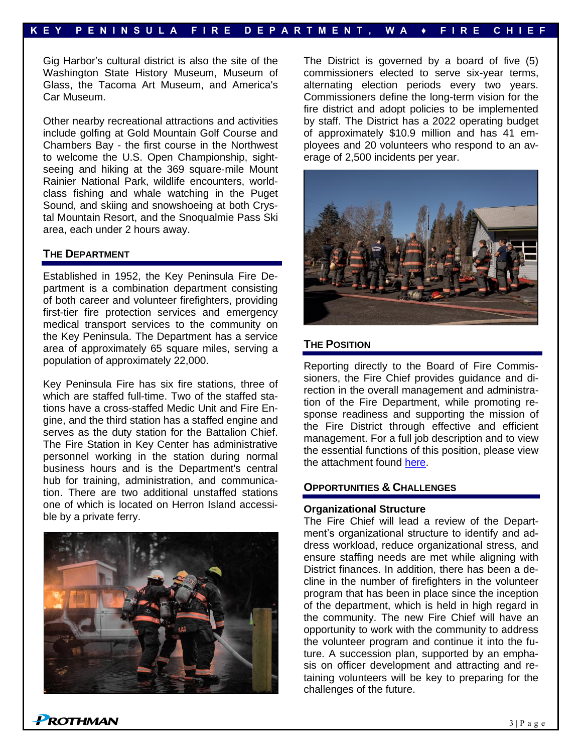Gig Harbor's cultural district is also the site of the Washington State History Museum, Museum of Glass, the Tacoma Art Museum, and America's Car Museum.

Other nearby recreational attractions and activities include golfing at Gold Mountain Golf Course and Chambers Bay - the first course in the Northwest to welcome the U.S. Open Championship, sightseeing and hiking at the 369 square-mile Mount Rainier National Park, wildlife encounters, worldclass fishing and whale watching in the Puget Sound, and skiing and snowshoeing at both Crystal Mountain Resort, and the Snoqualmie Pass Ski area, each under 2 hours away.

#### **THE DEPARTMENT**

Established in 1952, the Key Peninsula Fire Department is a combination department consisting of both career and volunteer firefighters, providing first-tier fire protection services and emergency medical transport services to the community on the Key Peninsula. The Department has a service area of approximately 65 square miles, serving a population of approximately 22,000.

Key Peninsula Fire has six fire stations, three of which are staffed full-time. Two of the staffed stations have a cross-staffed Medic Unit and Fire Engine, and the third station has a staffed engine and serves as the duty station for the Battalion Chief. The Fire Station in Key Center has administrative personnel working in the station during normal business hours and is the Department's central hub for training, administration, and communication. There are two additional unstaffed stations one of which is located on Herron Island accessible by a private ferry.



The District is governed by a board of five (5) commissioners elected to serve six-year terms, alternating election periods every two years. Commissioners define the long-term vision for the fire district and adopt policies to be implemented by staff. The District has a 2022 operating budget of approximately \$10.9 million and has 41 employees and 20 volunteers who respond to an average of 2,500 incidents per year.



#### **THE POSITION**

Reporting directly to the Board of Fire Commissioners, the Fire Chief provides guidance and direction in the overall management and administration of the Fire Department, while promoting response readiness and supporting the mission of the Fire District through effective and efficient management. For a full job description and to view the essential functions of this position, please view the attachment found [here.](https://prothman.com/JobFiles/2935/2014%20Fire%20Chief%20Job%20Description.pdf)

#### **OPPORTUNITIES & CHALLENGES**

#### **Organizational Structure**

The Fire Chief will lead a review of the Department's organizational structure to identify and address workload, reduce organizational stress, and ensure staffing needs are met while aligning with District finances. In addition, there has been a decline in the number of firefighters in the volunteer program that has been in place since the inception of the department, which is held in high regard in the community. The new Fire Chief will have an opportunity to work with the community to address the volunteer program and continue it into the future. A succession plan, supported by an emphasis on officer development and attracting and retaining volunteers will be key to preparing for the challenges of the future.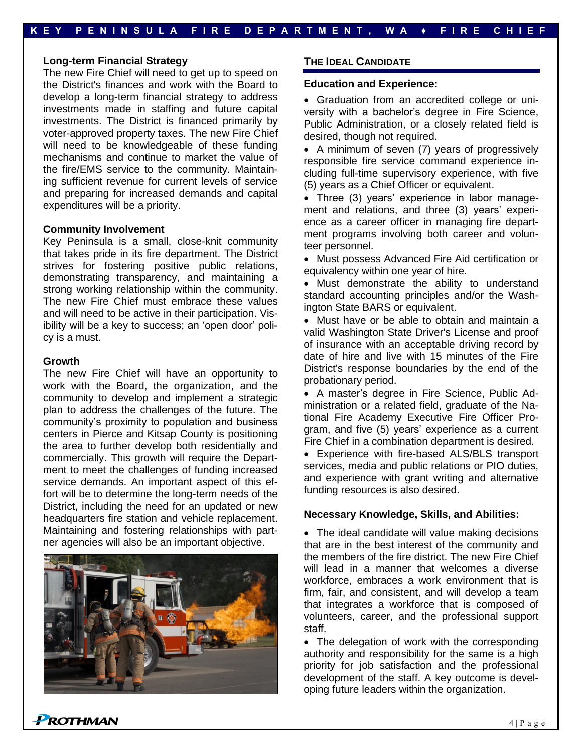#### **Long-term Financial Strategy**

The new Fire Chief will need to get up to speed on the District's finances and work with the Board to develop a long-term financial strategy to address investments made in staffing and future capital investments. The District is financed primarily by voter-approved property taxes. The new Fire Chief will need to be knowledgeable of these funding mechanisms and continue to market the value of the fire/EMS service to the community. Maintaining sufficient revenue for current levels of service and preparing for increased demands and capital expenditures will be a priority.

#### **Community Involvement**

Key Peninsula is a small, close-knit community that takes pride in its fire department. The District strives for fostering positive public relations, demonstrating transparency, and maintaining a strong working relationship within the community. The new Fire Chief must embrace these values and will need to be active in their participation. Visibility will be a key to success; an 'open door' policy is a must.

#### **Growth**

The new Fire Chief will have an opportunity to work with the Board, the organization, and the community to develop and implement a strategic plan to address the challenges of the future. The community's proximity to population and business centers in Pierce and Kitsap County is positioning the area to further develop both residentially and commercially. This growth will require the Department to meet the challenges of funding increased service demands. An important aspect of this effort will be to determine the long-term needs of the District, including the need for an updated or new headquarters fire station and vehicle replacement. Maintaining and fostering relationships with partner agencies will also be an important objective.



#### **THE IDEAL CANDIDATE**

#### **Education and Experience:**

• Graduation from an accredited college or university with a bachelor's degree in Fire Science, Public Administration, or a closely related field is desired, though not required.

• A minimum of seven (7) years of progressively responsible fire service command experience including full-time supervisory experience, with five (5) years as a Chief Officer or equivalent.

• Three (3) years' experience in labor management and relations, and three (3) years' experience as a career officer in managing fire department programs involving both career and volunteer personnel.

• Must possess Advanced Fire Aid certification or equivalency within one year of hire.

• Must demonstrate the ability to understand standard accounting principles and/or the Washington State BARS or equivalent.

• Must have or be able to obtain and maintain a valid Washington State Driver's License and proof of insurance with an acceptable driving record by date of hire and live with 15 minutes of the Fire District's response boundaries by the end of the probationary period.

• A master's degree in Fire Science, Public Administration or a related field, graduate of the National Fire Academy Executive Fire Officer Program, and five (5) years' experience as a current Fire Chief in a combination department is desired.

• Experience with fire-based ALS/BLS transport services, media and public relations or PIO duties, and experience with grant writing and alternative funding resources is also desired.

#### **Necessary Knowledge, Skills, and Abilities:**

• The ideal candidate will value making decisions that are in the best interest of the community and the members of the fire district. The new Fire Chief will lead in a manner that welcomes a diverse workforce, embraces a work environment that is firm, fair, and consistent, and will develop a team that integrates a workforce that is composed of volunteers, career, and the professional support staff.

• The delegation of work with the corresponding authority and responsibility for the same is a high priority for job satisfaction and the professional development of the staff. A key outcome is developing future leaders within the organization.